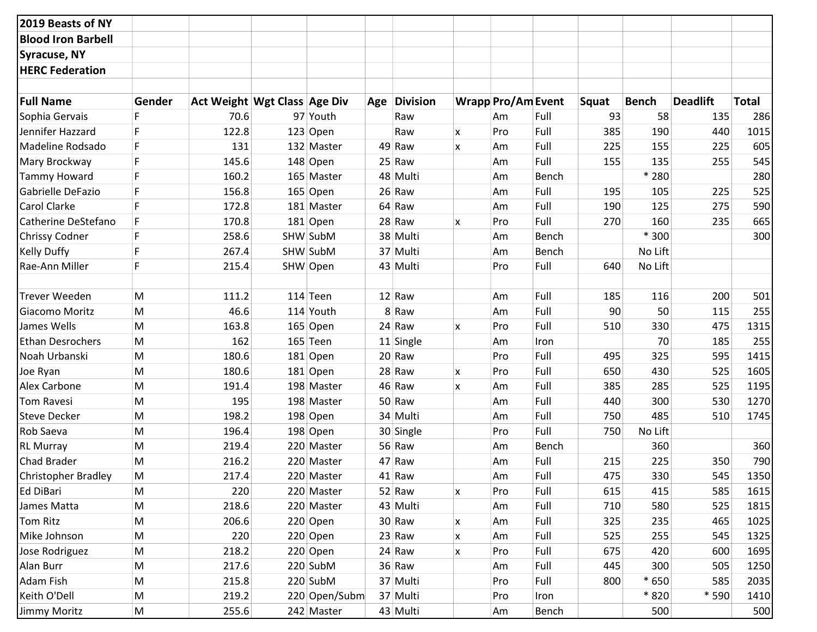| 2019 Beasts of NY         |           |                              |               |              |          |                           |       |       |              |                 |              |
|---------------------------|-----------|------------------------------|---------------|--------------|----------|---------------------------|-------|-------|--------------|-----------------|--------------|
| <b>Blood Iron Barbell</b> |           |                              |               |              |          |                           |       |       |              |                 |              |
| Syracuse, NY              |           |                              |               |              |          |                           |       |       |              |                 |              |
| <b>HERC Federation</b>    |           |                              |               |              |          |                           |       |       |              |                 |              |
|                           |           |                              |               |              |          |                           |       |       |              |                 |              |
| <b>Full Name</b>          | Gender    | Act Weight Wgt Class Age Div |               | Age Division |          | <b>Wrapp Pro/Am Event</b> |       | Squat | <b>Bench</b> | <b>Deadlift</b> | <b>Total</b> |
| Sophia Gervais            |           | 70.6                         | 97 Youth      | Raw          |          | Am                        | Full  | 93    | 58           | 135             | 286          |
| Jennifer Hazzard          |           | 122.8                        | $123$ Open    | Raw          | <b>X</b> | Pro                       | Full  | 385   | 190          | 440             | 1015         |
| Madeline Rodsado          | F         | 131                          | 132 Master    | 49 Raw       | X        | Am                        | Full  | 225   | 155          | 225             | 605          |
| Mary Brockway             |           | 145.6                        | 148 Open      | 25 Raw       |          | Am                        | Full  | 155   | 135          | 255             | 545          |
| <b>Tammy Howard</b>       | F.        | 160.2                        | 165 Master    | 48 Multi     |          | Am                        | Bench |       | * 280        |                 | 280          |
| Gabrielle DeFazio         |           | 156.8                        | 165 Open      | 26 Raw       |          | Am                        | Full  | 195   | 105          | 225             | 525          |
| <b>Carol Clarke</b>       |           | 172.8                        | 181 Master    | 64 Raw       |          | Am                        | Full  | 190   | 125          | 275             | 590          |
| Catherine DeStefano       | F         | 170.8                        | 181 Open      | 28 Raw       | X        | Pro                       | Full  | 270   | 160          | 235             | 665          |
| <b>Chrissy Codner</b>     |           | 258.6                        | SHW SubM      | 38 Multi     |          | Am                        | Bench |       | * 300        |                 | 300          |
| <b>Kelly Duffy</b>        | F         | 267.4                        | SHW SubM      | 37 Multi     |          | Am                        | Bench |       | No Lift      |                 |              |
| <b>Rae-Ann Miller</b>     |           | 215.4                        | SHW Open      | 43 Multi     |          | Pro                       | Full  | 640   | No Lift      |                 |              |
|                           |           |                              |               |              |          |                           |       |       |              |                 |              |
| <b>Trever Weeden</b>      | M         | 111.2                        | $114$ Teen    | 12 Raw       |          | Am                        | Full  | 185   | 116          | 200             | 501          |
| <b>Giacomo Moritz</b>     | M         | 46.6                         | 114 Youth     | 8 Raw        |          | Am                        | Full  | 90    | 50           | 115             | 255          |
| James Wells               | M         | 163.8                        | 165 Open      | 24 Raw       | <b>X</b> | Pro                       | Full  | 510   | 330          | 475             | 1315         |
| <b>Ethan Desrochers</b>   | M         | 162                          | 165 Teen      | 11 Single    |          | Am                        | Iron  |       | 70           | 185             | 255          |
| Noah Urbanski             | M         | 180.6                        | 181 Open      | 20 Raw       |          | Pro                       | Full  | 495   | 325          | 595             | 1415         |
| Joe Ryan                  | M         | 180.6                        | 181 Open      | 28 Raw       | x        | Pro                       | Full  | 650   | 430          | 525             | 1605         |
| <b>Alex Carbone</b>       | M         | 191.4                        | 198 Master    | 46 Raw       | X        | Am                        | Full  | 385   | 285          | 525             | 1195         |
| Tom Ravesi                | M         | 195                          | 198 Master    | 50 Raw       |          | Am                        | Full  | 440   | 300          | 530             | 1270         |
| <b>Steve Decker</b>       | M         | 198.2                        | 198 Open      | 34 Multi     |          | Am                        | Full  | 750   | 485          | 510             | 1745         |
| Rob Saeva                 | M         | 196.4                        | 198 Open      | 30 Single    |          | Pro                       | Full  | 750   | No Lift      |                 |              |
| <b>RL Murray</b>          | M         | 219.4                        | 220 Master    | 56 Raw       |          | Am                        | Bench |       | 360          |                 | 360          |
| <b>Chad Brader</b>        | M         | 216.2                        | 220 Master    | 47 Raw       |          | Am                        | Full  | 215   | 225          | 350             | 790          |
| Christopher Bradley       | M         | 217.4                        | 220 Master    | 41 Raw       |          | Am                        | Full  | 475   | 330          | 545             | 1350         |
| Ed DiBari                 | M         | 220                          | 220 Master    | 52 Raw       | X.       | Pro                       | Full  | 615   | 415          | 585             | 1615         |
| James Matta               | M         | 218.6                        | 220 Master    | 43 Multi     |          | Am                        | Full  | 710   | 580          | 525             | 1815         |
| <b>Tom Ritz</b>           | M         | 206.6                        | 220 Open      | 30 Raw       | X        | Am                        | Full  | 325   | 235          | 465             | 1025         |
| Mike Johnson              | M         | 220                          | 220 Open      | 23 Raw       | X        | Am                        | Full  | 525   | 255          | 545             | 1325         |
| Jose Rodriguez            | ${\sf M}$ | 218.2                        | 220 Open      | 24 Raw       | X        | Pro                       | Full  | 675   | 420          | 600             | 1695         |
| Alan Burr                 | M         | 217.6                        | 220 SubM      | 36 Raw       |          | Am                        | Full  | 445   | 300          | 505             | 1250         |
| Adam Fish                 | M         | 215.8                        | 220 SubM      | 37 Multi     |          | Pro                       | Full  | 800   | * 650        | 585             | 2035         |
| Keith O'Dell              | M         | 219.2                        | 220 Open/Subm | 37 Multi     |          | Pro                       | Iron  |       | * 820        | * 590           | 1410         |
| Jimmy Moritz              | M         | 255.6                        | 242 Master    | 43 Multi     |          | Am                        | Bench |       | 500          |                 | 500          |